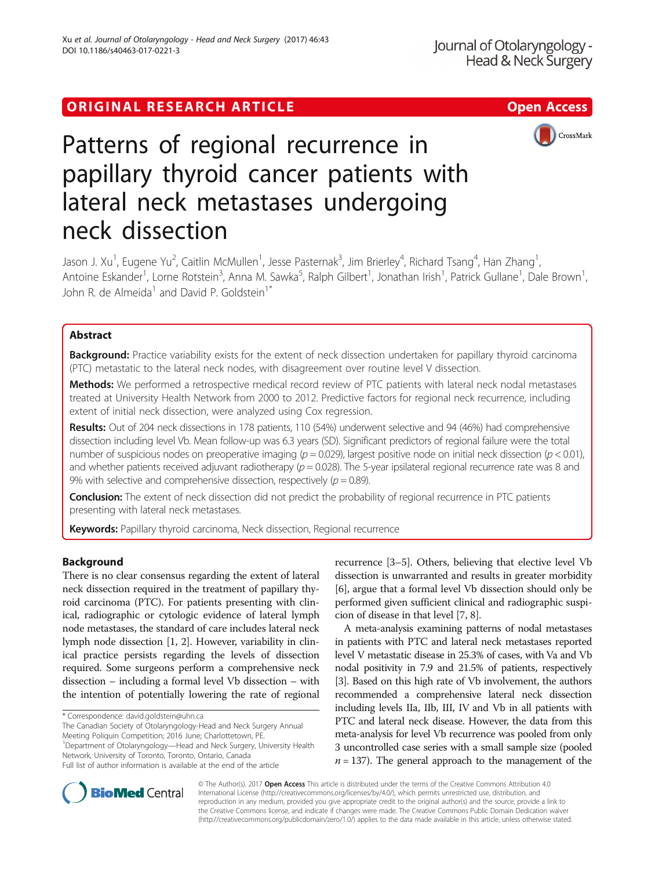# ORIGINAL RESEARCH ARTICLE **External of the Contract Contract Contract Contract Contract Contract Contract Contract Contract Contract Contract Contract Contract Contract Contract Contract Contract Contract Contract Contract**



# Patterns of regional recurrence in papillary thyroid cancer patients with lateral neck metastases undergoing neck dissection

Jason J. Xu<sup>1</sup>, Eugene Yu<sup>2</sup>, Caitlin McMullen<sup>1</sup>, Jesse Pasternak<sup>3</sup>, Jim Brierley<sup>4</sup>, Richard Tsang<sup>4</sup>, Han Zhang<sup>1</sup> , Antoine Eskander<sup>1</sup>, Lorne Rotstein<sup>3</sup>, Anna M. Sawka<sup>5</sup>, Ralph Gilbert<sup>1</sup>, Jonathan Irish<sup>1</sup>, Patrick Gullane<sup>1</sup>, Dale Brown<sup>1</sup> , John R. de Almeida<sup>1</sup> and David P. Goldstein<sup>1\*</sup>

# Abstract

Background: Practice variability exists for the extent of neck dissection undertaken for papillary thyroid carcinoma (PTC) metastatic to the lateral neck nodes, with disagreement over routine level V dissection.

Methods: We performed a retrospective medical record review of PTC patients with lateral neck nodal metastases treated at University Health Network from 2000 to 2012. Predictive factors for regional neck recurrence, including extent of initial neck dissection, were analyzed using Cox regression.

Results: Out of 204 neck dissections in 178 patients, 110 (54%) underwent selective and 94 (46%) had comprehensive dissection including level Vb. Mean follow-up was 6.3 years (SD). Significant predictors of regional failure were the total number of suspicious nodes on preoperative imaging ( $p = 0.029$ ), largest positive node on initial neck dissection ( $p < 0.01$ ), and whether patients received adjuvant radiotherapy ( $p = 0.028$ ). The 5-year ipsilateral regional recurrence rate was 8 and 9% with selective and comprehensive dissection, respectively ( $p = 0.89$ ).

Conclusion: The extent of neck dissection did not predict the probability of regional recurrence in PTC patients presenting with lateral neck metastases.

Keywords: Papillary thyroid carcinoma, Neck dissection, Regional recurrence

# Background

There is no clear consensus regarding the extent of lateral neck dissection required in the treatment of papillary thyroid carcinoma (PTC). For patients presenting with clinical, radiographic or cytologic evidence of lateral lymph node metastases, the standard of care includes lateral neck lymph node dissection [[1](#page-5-0), [2\]](#page-5-0). However, variability in clinical practice persists regarding the levels of dissection required. Some surgeons perform a comprehensive neck dissection – including a formal level Vb dissection – with the intention of potentially lowering the rate of regional

The Canadian Society of Otolaryngology-Head and Neck Surgery Annual Meeting Poliquin Competition; 2016 June; Charlottetown, PE. <sup>1</sup>Department of Otolaryngology-Head and Neck Surgery, University Health Network, University of Toronto, Toronto, Ontario, Canada

Full list of author information is available at the end of the article

recurrence [[3](#page-6-0)–[5](#page-6-0)]. Others, believing that elective level Vb dissection is unwarranted and results in greater morbidity [[6\]](#page-6-0), argue that a formal level Vb dissection should only be performed given sufficient clinical and radiographic suspicion of disease in that level [\[7](#page-6-0), [8\]](#page-6-0).

A meta-analysis examining patterns of nodal metastases in patients with PTC and lateral neck metastases reported level V metastatic disease in 25.3% of cases, with Va and Vb nodal positivity in 7.9 and 21.5% of patients, respectively [[3](#page-6-0)]. Based on this high rate of Vb involvement, the authors recommended a comprehensive lateral neck dissection including levels IIa, IIb, III, IV and Vb in all patients with PTC and lateral neck disease. However, the data from this meta-analysis for level Vb recurrence was pooled from only 3 uncontrolled case series with a small sample size (pooled  $n = 137$ ). The general approach to the management of the



© The Author(s). 2017 **Open Access** This article is distributed under the terms of the Creative Commons Attribution 4.0 International License [\(http://creativecommons.org/licenses/by/4.0/](http://creativecommons.org/licenses/by/4.0/)), which permits unrestricted use, distribution, and reproduction in any medium, provided you give appropriate credit to the original author(s) and the source, provide a link to the Creative Commons license, and indicate if changes were made. The Creative Commons Public Domain Dedication waiver [\(http://creativecommons.org/publicdomain/zero/1.0/](http://creativecommons.org/publicdomain/zero/1.0/)) applies to the data made available in this article, unless otherwise stated.

<sup>\*</sup> Correspondence: [david.goldstein@uhn.ca](mailto:david.goldstein@uhn.ca)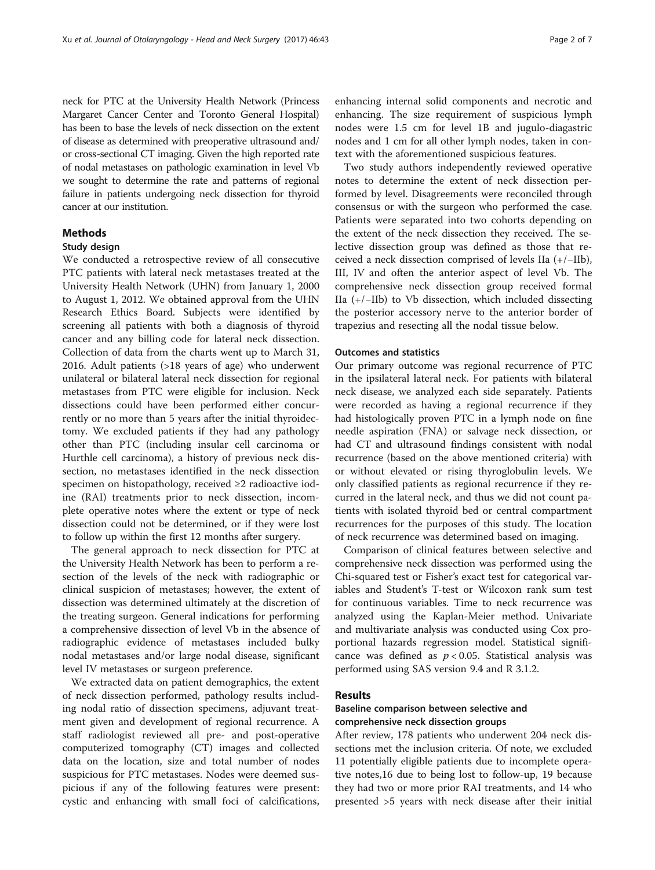neck for PTC at the University Health Network (Princess Margaret Cancer Center and Toronto General Hospital) has been to base the levels of neck dissection on the extent of disease as determined with preoperative ultrasound and/ or cross-sectional CT imaging. Given the high reported rate of nodal metastases on pathologic examination in level Vb we sought to determine the rate and patterns of regional failure in patients undergoing neck dissection for thyroid cancer at our institution.

# Methods

# Study design

We conducted a retrospective review of all consecutive PTC patients with lateral neck metastases treated at the University Health Network (UHN) from January 1, 2000 to August 1, 2012. We obtained approval from the UHN Research Ethics Board. Subjects were identified by screening all patients with both a diagnosis of thyroid cancer and any billing code for lateral neck dissection. Collection of data from the charts went up to March 31, 2016. Adult patients (>18 years of age) who underwent unilateral or bilateral lateral neck dissection for regional metastases from PTC were eligible for inclusion. Neck dissections could have been performed either concurrently or no more than 5 years after the initial thyroidectomy. We excluded patients if they had any pathology other than PTC (including insular cell carcinoma or Hurthle cell carcinoma), a history of previous neck dissection, no metastases identified in the neck dissection specimen on histopathology, received ≥2 radioactive iodine (RAI) treatments prior to neck dissection, incomplete operative notes where the extent or type of neck dissection could not be determined, or if they were lost to follow up within the first 12 months after surgery.

The general approach to neck dissection for PTC at the University Health Network has been to perform a resection of the levels of the neck with radiographic or clinical suspicion of metastases; however, the extent of dissection was determined ultimately at the discretion of the treating surgeon. General indications for performing a comprehensive dissection of level Vb in the absence of radiographic evidence of metastases included bulky nodal metastases and/or large nodal disease, significant level IV metastases or surgeon preference.

We extracted data on patient demographics, the extent of neck dissection performed, pathology results including nodal ratio of dissection specimens, adjuvant treatment given and development of regional recurrence. A staff radiologist reviewed all pre- and post-operative computerized tomography (CT) images and collected data on the location, size and total number of nodes suspicious for PTC metastases. Nodes were deemed suspicious if any of the following features were present: cystic and enhancing with small foci of calcifications, enhancing internal solid components and necrotic and enhancing. The size requirement of suspicious lymph nodes were 1.5 cm for level 1B and jugulo-diagastric nodes and 1 cm for all other lymph nodes, taken in context with the aforementioned suspicious features.

Two study authors independently reviewed operative notes to determine the extent of neck dissection performed by level. Disagreements were reconciled through consensus or with the surgeon who performed the case. Patients were separated into two cohorts depending on the extent of the neck dissection they received. The selective dissection group was defined as those that received a neck dissection comprised of levels IIa (+/−IIb), III, IV and often the anterior aspect of level Vb. The comprehensive neck dissection group received formal IIa (+/−IIb) to Vb dissection, which included dissecting the posterior accessory nerve to the anterior border of trapezius and resecting all the nodal tissue below.

## Outcomes and statistics

Our primary outcome was regional recurrence of PTC in the ipsilateral lateral neck. For patients with bilateral neck disease, we analyzed each side separately. Patients were recorded as having a regional recurrence if they had histologically proven PTC in a lymph node on fine needle aspiration (FNA) or salvage neck dissection, or had CT and ultrasound findings consistent with nodal recurrence (based on the above mentioned criteria) with or without elevated or rising thyroglobulin levels. We only classified patients as regional recurrence if they recurred in the lateral neck, and thus we did not count patients with isolated thyroid bed or central compartment recurrences for the purposes of this study. The location of neck recurrence was determined based on imaging.

Comparison of clinical features between selective and comprehensive neck dissection was performed using the Chi-squared test or Fisher's exact test for categorical variables and Student's T-test or Wilcoxon rank sum test for continuous variables. Time to neck recurrence was analyzed using the Kaplan-Meier method. Univariate and multivariate analysis was conducted using Cox proportional hazards regression model. Statistical significance was defined as  $p < 0.05$ . Statistical analysis was performed using SAS version 9.4 and R 3.1.2.

# Results

# Baseline comparison between selective and comprehensive neck dissection groups

After review, 178 patients who underwent 204 neck dissections met the inclusion criteria. Of note, we excluded 11 potentially eligible patients due to incomplete operative notes,16 due to being lost to follow-up, 19 because they had two or more prior RAI treatments, and 14 who presented >5 years with neck disease after their initial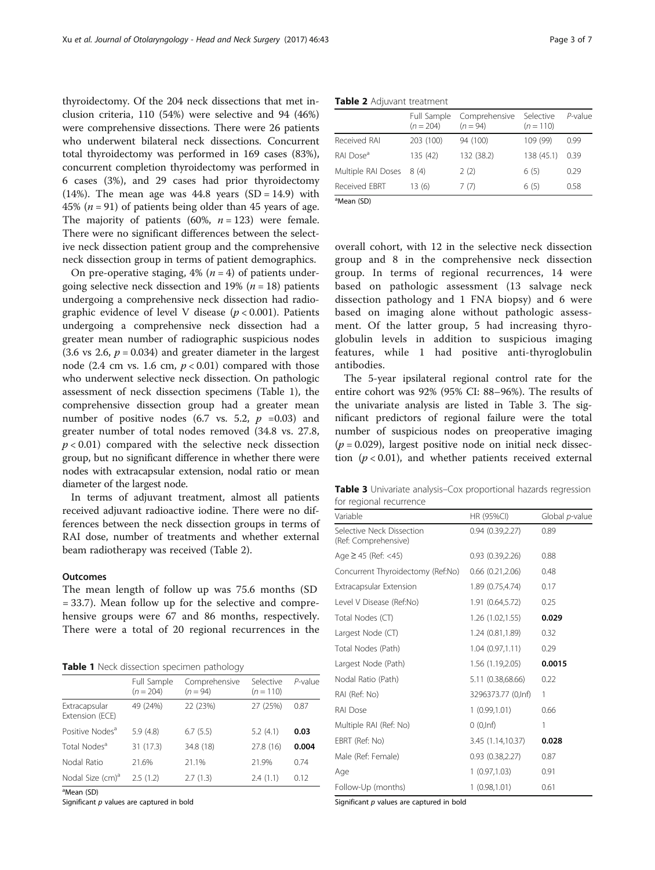thyroidectomy. Of the 204 neck dissections that met inclusion criteria, 110 (54%) were selective and 94 (46%) were comprehensive dissections. There were 26 patients who underwent bilateral neck dissections. Concurrent total thyroidectomy was performed in 169 cases (83%), concurrent completion thyroidectomy was performed in 6 cases (3%), and 29 cases had prior thyroidectomy  $(14%)$ . The mean age was  $44.8$  years  $(SD = 14.9)$  with 45% ( $n = 91$ ) of patients being older than 45 years of age. The majority of patients (60%,  $n = 123$ ) were female. There were no significant differences between the selective neck dissection patient group and the comprehensive neck dissection group in terms of patient demographics.

On pre-operative staging,  $4\%$  ( $n = 4$ ) of patients undergoing selective neck dissection and 19% ( $n = 18$ ) patients undergoing a comprehensive neck dissection had radiographic evidence of level V disease ( $p < 0.001$ ). Patients undergoing a comprehensive neck dissection had a greater mean number of radiographic suspicious nodes  $(3.6 \text{ vs } 2.6, p = 0.034)$  and greater diameter in the largest node (2.4 cm vs. 1.6 cm,  $p < 0.01$ ) compared with those who underwent selective neck dissection. On pathologic assessment of neck dissection specimens (Table 1), the comprehensive dissection group had a greater mean number of positive nodes (6.7 vs. 5.2,  $p = 0.03$ ) and greater number of total nodes removed (34.8 vs. 27.8,  $p < 0.01$ ) compared with the selective neck dissection group, but no significant difference in whether there were nodes with extracapsular extension, nodal ratio or mean diameter of the largest node.

In terms of adjuvant treatment, almost all patients received adjuvant radioactive iodine. There were no differences between the neck dissection groups in terms of RAI dose, number of treatments and whether external beam radiotherapy was received (Table 2).

# **Outcomes**

The mean length of follow up was 75.6 months (SD = 33.7). Mean follow up for the selective and comprehensive groups were 67 and 86 months, respectively. There were a total of 20 regional recurrences in the

|  |  |  |  | Table 1 Neck dissection specimen pathology |
|--|--|--|--|--------------------------------------------|
|--|--|--|--|--------------------------------------------|

|                                  | Full Sample<br>$(n = 204)$ | Comprehensive<br>$(n = 94)$ | Selective<br>$(n = 110)$ | P-value |
|----------------------------------|----------------------------|-----------------------------|--------------------------|---------|
| Extracapsular<br>Extension (ECE) | 49 (24%)                   | 22 (23%)                    | 27 (25%)                 | 0.87    |
| Positive Nodes <sup>a</sup>      | 5.9(4.8)                   | 6.7(5.5)                    | 5.2(4.1)                 | 0.03    |
| Total Nodes <sup>a</sup>         | 31 (17.3)                  | 34.8 (18)                   | 27.8 (16)                | 0.004   |
| Nodal Ratio                      | 21.6%                      | 21.1%                       | 21.9%                    | 0.74    |
| Nodal Size (cm) <sup>a</sup>     | 2.5(1.2)                   | 2.7(1.3)                    | 2.4(1.1)                 | 0.12    |

<sup>a</sup>Mean (SD)

Significant  $p$  values are captured in bold

Table 2 Adjuvant treatment

| Comprehensive<br>Selective<br>Full Sample<br>$(n = 204)$<br>$(n = 110)$<br>$(n = 94)$<br>Received RAI<br>203 (100)<br>94 (100)<br>109 (99)<br>0.99<br>RAI Dose <sup>a</sup><br>132 (38.2)<br>138 (45.1)<br>135 (42)<br>0.39<br>Multiple RAI Doses<br>2(2)<br>6(5)<br>8(4)<br>0.29<br>Received EBRT<br>13(6)<br>7(7)<br>6(5)<br>0.58 |  |  |            |
|-------------------------------------------------------------------------------------------------------------------------------------------------------------------------------------------------------------------------------------------------------------------------------------------------------------------------------------|--|--|------------|
|                                                                                                                                                                                                                                                                                                                                     |  |  | $P$ -value |
|                                                                                                                                                                                                                                                                                                                                     |  |  |            |
|                                                                                                                                                                                                                                                                                                                                     |  |  |            |
|                                                                                                                                                                                                                                                                                                                                     |  |  |            |
|                                                                                                                                                                                                                                                                                                                                     |  |  |            |

a Mean (SD)

overall cohort, with 12 in the selective neck dissection group and 8 in the comprehensive neck dissection group. In terms of regional recurrences, 14 were based on pathologic assessment (13 salvage neck dissection pathology and 1 FNA biopsy) and 6 were based on imaging alone without pathologic assessment. Of the latter group, 5 had increasing thyroglobulin levels in addition to suspicious imaging features, while 1 had positive anti-thyroglobulin antibodies.

The 5-year ipsilateral regional control rate for the entire cohort was 92% (95% CI: 88–96%). The results of the univariate analysis are listed in Table 3. The significant predictors of regional failure were the total number of suspicious nodes on preoperative imaging  $(p = 0.029)$ , largest positive node on initial neck dissection  $(p < 0.01)$ , and whether patients received external

Table 3 Univariate analysis–Cox proportional hazards regression for regional recurrence

| Variable                                          | HR (95%CI)          | Global p-value |
|---------------------------------------------------|---------------------|----------------|
| Selective Neck Dissection<br>(Ref: Comprehensive) | 0.94(0.39, 2.27)    | 0.89           |
| Age $\geq$ 45 (Ref: <45)                          | 0.93(0.39, 2.26)    | 0.88           |
| Concurrent Thyroidectomy (Ref:No)                 | 0.66(0.21, 2.06)    | 0.48           |
| Extracapsular Extension                           | 1.89 (0.75,4.74)    | 0.17           |
| Level V Disease (Ref:No)                          | 1.91 (0.64,5.72)    | 0.25           |
| Total Nodes (CT)                                  | 1.26(1.02, 1.55)    | 0.029          |
| Largest Node (CT)                                 | 1.24 (0.81,1.89)    | 0.32           |
| Total Nodes (Path)                                | 1.04(0.97,1.11)     | 0.29           |
| Largest Node (Path)                               | 1.56 (1.19,2.05)    | 0.0015         |
| Nodal Ratio (Path)                                | 5.11 (0.38,68.66)   | 0.22           |
| RAI (Ref: No)                                     | 3296373.77 (0, lnf) | 1              |
| RAI Dose                                          | 1(0.99, 1.01)       | 0.66           |
| Multiple RAI (Ref: No)                            | 0(0, lnf)           | 1              |
| EBRT (Ref: No)                                    | 3.45 (1.14,10.37)   | 0.028          |
| Male (Ref: Female)                                | 0.93(0.38, 2.27)    | 0.87           |
| Age                                               | 1(0.97, 1.03)       | 0.91           |
| Follow-Up (months)                                | 1(0.98, 1.01)       | 0.61           |

Significant  $p$  values are captured in bold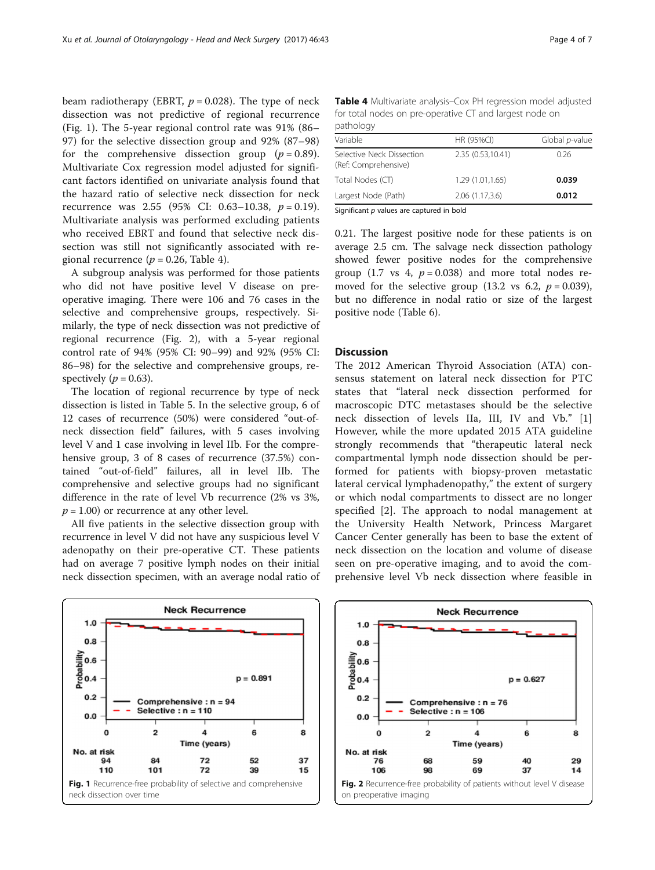beam radiotherapy (EBRT,  $p = 0.028$ ). The type of neck dissection was not predictive of regional recurrence (Fig. 1). The 5-year regional control rate was 91% (86– 97) for the selective dissection group and 92% (87–98) for the comprehensive dissection group  $(p = 0.89)$ . Multivariate Cox regression model adjusted for significant factors identified on univariate analysis found that the hazard ratio of selective neck dissection for neck recurrence was 2.55 (95% CI: 0.63-10.38,  $p = 0.19$ ). Multivariate analysis was performed excluding patients who received EBRT and found that selective neck dissection was still not significantly associated with regional recurrence ( $p = 0.26$ , Table 4).

A subgroup analysis was performed for those patients who did not have positive level V disease on preoperative imaging. There were 106 and 76 cases in the selective and comprehensive groups, respectively. Similarly, the type of neck dissection was not predictive of regional recurrence (Fig. 2), with a 5-year regional control rate of 94% (95% CI: 90–99) and 92% (95% CI: 86–98) for the selective and comprehensive groups, respectively ( $p = 0.63$ ).

The location of regional recurrence by type of neck dissection is listed in Table [5](#page-4-0). In the selective group, 6 of 12 cases of recurrence (50%) were considered "out-ofneck dissection field" failures, with 5 cases involving level V and 1 case involving in level IIb. For the comprehensive group, 3 of 8 cases of recurrence (37.5%) contained "out-of-field" failures, all in level IIb. The comprehensive and selective groups had no significant difference in the rate of level Vb recurrence (2% vs 3%,  $p = 1.00$ ) or recurrence at any other level.

All five patients in the selective dissection group with recurrence in level V did not have any suspicious level V adenopathy on their pre-operative CT. These patients had on average 7 positive lymph nodes on their initial neck dissection specimen, with an average nodal ratio of Table 4 Multivariate analysis–Cox PH regression model adjusted for total nodes on pre-operative CT and largest node on pathology

| Variable                                          | HR (95%CI)        | Global p-value |
|---------------------------------------------------|-------------------|----------------|
| Selective Neck Dissection<br>(Ref: Comprehensive) | 2.35 (0.53,10.41) | 0.26           |
| Total Nodes (CT)                                  | 1.29 (1.01,1.65)  | 0.039          |
| Largest Node (Path)                               | 2.06 (1.17,3.6)   | 0.012          |
|                                                   | .                 |                |

Significant  $p$  values are captured in bold

0.21. The largest positive node for these patients is on average 2.5 cm. The salvage neck dissection pathology showed fewer positive nodes for the comprehensive group (1.7 vs 4,  $p = 0.038$ ) and more total nodes removed for the selective group (13.2 vs 6.2,  $p = 0.039$ ), but no difference in nodal ratio or size of the largest positive node (Table [6](#page-4-0)).

# Discussion

The 2012 American Thyroid Association (ATA) consensus statement on lateral neck dissection for PTC states that "lateral neck dissection performed for macroscopic DTC metastases should be the selective neck dissection of levels IIa, III, IV and Vb." [\[1](#page-5-0)] However, while the more updated 2015 ATA guideline strongly recommends that "therapeutic lateral neck compartmental lymph node dissection should be performed for patients with biopsy-proven metastatic lateral cervical lymphadenopathy," the extent of surgery or which nodal compartments to dissect are no longer specified [\[2](#page-5-0)]. The approach to nodal management at the University Health Network, Princess Margaret Cancer Center generally has been to base the extent of neck dissection on the location and volume of disease seen on pre-operative imaging, and to avoid the comprehensive level Vb neck dissection where feasible in



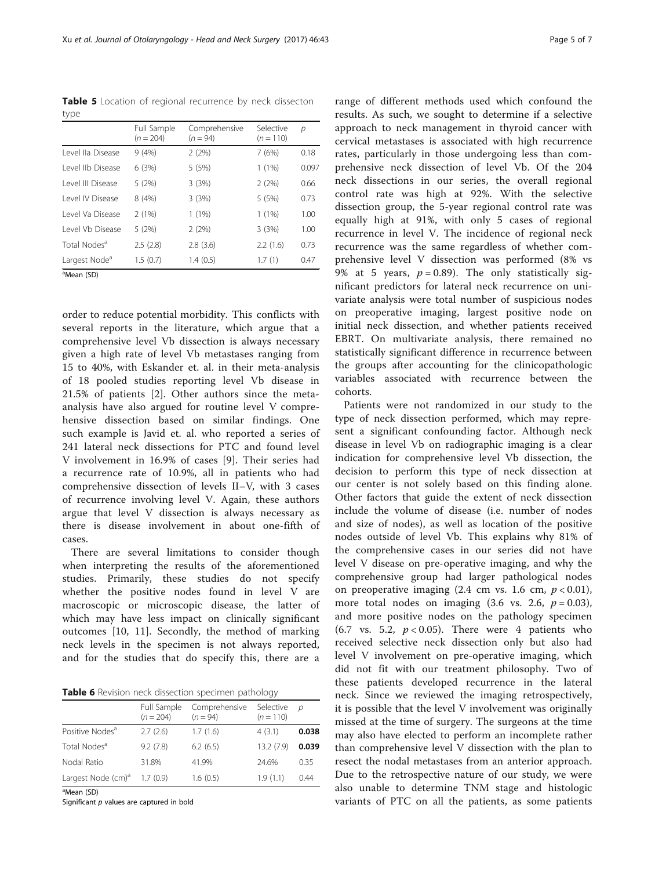<span id="page-4-0"></span>Table 5 Location of regional recurrence by neck dissecton type

|                           | Full Sample<br>$(n = 204)$ | Comprehensive<br>$(n = 94)$ | Selective<br>$(n = 110)$ | р     |
|---------------------------|----------------------------|-----------------------------|--------------------------|-------|
| Level lla Disease         | 9(4%)                      | 2(2%)                       | 7(6%)                    | 0.18  |
| Level IIb Disease         | 6(3%)                      | 5(5%)                       | $1(1\%)$                 | 0.097 |
| Level III Disease         | 5(2%)                      | 3(3%)                       | 2(2%)                    | 0.66  |
| Level IV Disease          | 8(4%)                      | 3(3%)                       | 5(5%)                    | 0.73  |
| Level Va Disease          | 2(1%)                      | 1(1%)                       | $1(1\%)$                 | 1.00  |
| Level Vb Disease          | 5(2%)                      | 2(2%)                       | 3(3%)                    | 1.00  |
| Total Nodes <sup>a</sup>  | 2.5(2.8)                   | 2.8(3.6)                    | 2.2(1.6)                 | 0.73  |
| Largest Node <sup>a</sup> | 1.5(0.7)                   | 1.4(0.5)                    | 1.7(1)                   | 0.47  |

<sup>a</sup>Mean (SD)

order to reduce potential morbidity. This conflicts with several reports in the literature, which argue that a comprehensive level Vb dissection is always necessary given a high rate of level Vb metastases ranging from 15 to 40%, with Eskander et. al. in their meta-analysis of 18 pooled studies reporting level Vb disease in 21.5% of patients [\[2](#page-5-0)]. Other authors since the metaanalysis have also argued for routine level V comprehensive dissection based on similar findings. One such example is Javid et. al. who reported a series of 241 lateral neck dissections for PTC and found level V involvement in 16.9% of cases [[9\]](#page-6-0). Their series had a recurrence rate of 10.9%, all in patients who had comprehensive dissection of levels II–V, with 3 cases of recurrence involving level V. Again, these authors argue that level V dissection is always necessary as there is disease involvement in about one-fifth of cases.

There are several limitations to consider though when interpreting the results of the aforementioned studies. Primarily, these studies do not specify whether the positive nodes found in level V are macroscopic or microscopic disease, the latter of which may have less impact on clinically significant outcomes [\[10](#page-6-0), [11](#page-6-0)]. Secondly, the method of marking neck levels in the specimen is not always reported, and for the studies that do specify this, there are a

Table 6 Revision neck dissection specimen pathology

|                                | Full Sample<br>$(n = 204)$ | Comprehensive<br>$(n = 94)$ | Selective<br>$(n = 110)$ | D     |
|--------------------------------|----------------------------|-----------------------------|--------------------------|-------|
| Positive Nodes <sup>a</sup>    | 2.7(2.6)                   | 1.7(1.6)                    | 4(3.1)                   | 0.038 |
| Total Nodes <sup>a</sup>       | 9.2(7.8)                   | 6.2(6.5)                    | 13.2(7.9)                | 0.039 |
| Nodal Ratio                    | 31.8%                      | 41.9%                       | 24.6%                    | 0.35  |
| Largest Node (cm) <sup>a</sup> | 1.7(0.9)                   | 1.6(0.5)                    | 1.9(1.1)                 | 0.44  |

<sup>a</sup>Mean (SD)

Significant  $p$  values are captured in bold

range of different methods used which confound the results. As such, we sought to determine if a selective approach to neck management in thyroid cancer with cervical metastases is associated with high recurrence rates, particularly in those undergoing less than comprehensive neck dissection of level Vb. Of the 204 neck dissections in our series, the overall regional control rate was high at 92%. With the selective dissection group, the 5-year regional control rate was equally high at 91%, with only 5 cases of regional recurrence in level V. The incidence of regional neck recurrence was the same regardless of whether comprehensive level V dissection was performed (8% vs 9% at 5 years,  $p = 0.89$ ). The only statistically significant predictors for lateral neck recurrence on univariate analysis were total number of suspicious nodes on preoperative imaging, largest positive node on initial neck dissection, and whether patients received EBRT. On multivariate analysis, there remained no statistically significant difference in recurrence between the groups after accounting for the clinicopathologic variables associated with recurrence between the cohorts.

Patients were not randomized in our study to the type of neck dissection performed, which may represent a significant confounding factor. Although neck disease in level Vb on radiographic imaging is a clear indication for comprehensive level Vb dissection, the decision to perform this type of neck dissection at our center is not solely based on this finding alone. Other factors that guide the extent of neck dissection include the volume of disease (i.e. number of nodes and size of nodes), as well as location of the positive nodes outside of level Vb. This explains why 81% of the comprehensive cases in our series did not have level V disease on pre-operative imaging, and why the comprehensive group had larger pathological nodes on preoperative imaging  $(2.4 \text{ cm vs. } 1.6 \text{ cm}, p < 0.01)$ , more total nodes on imaging  $(3.6 \text{ vs. } 2.6, p = 0.03)$ , and more positive nodes on the pathology specimen (6.7 vs. 5.2,  $p < 0.05$ ). There were 4 patients who received selective neck dissection only but also had level V involvement on pre-operative imaging, which did not fit with our treatment philosophy. Two of these patients developed recurrence in the lateral neck. Since we reviewed the imaging retrospectively, it is possible that the level V involvement was originally missed at the time of surgery. The surgeons at the time may also have elected to perform an incomplete rather than comprehensive level V dissection with the plan to resect the nodal metastases from an anterior approach. Due to the retrospective nature of our study, we were also unable to determine TNM stage and histologic variants of PTC on all the patients, as some patients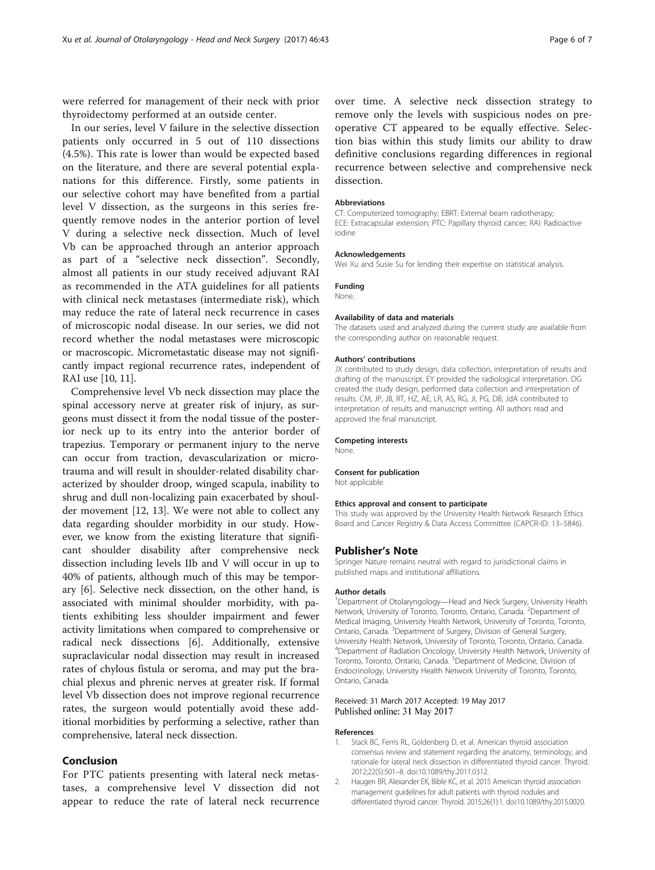<span id="page-5-0"></span>were referred for management of their neck with prior thyroidectomy performed at an outside center.

In our series, level V failure in the selective dissection patients only occurred in 5 out of 110 dissections (4.5%). This rate is lower than would be expected based on the literature, and there are several potential explanations for this difference. Firstly, some patients in our selective cohort may have benefited from a partial level V dissection, as the surgeons in this series frequently remove nodes in the anterior portion of level V during a selective neck dissection. Much of level Vb can be approached through an anterior approach as part of a "selective neck dissection". Secondly, almost all patients in our study received adjuvant RAI as recommended in the ATA guidelines for all patients with clinical neck metastases (intermediate risk), which may reduce the rate of lateral neck recurrence in cases of microscopic nodal disease. In our series, we did not record whether the nodal metastases were microscopic or macroscopic. Micrometastatic disease may not significantly impact regional recurrence rates, independent of RAI use [[10](#page-6-0), [11\]](#page-6-0).

Comprehensive level Vb neck dissection may place the spinal accessory nerve at greater risk of injury, as surgeons must dissect it from the nodal tissue of the posterior neck up to its entry into the anterior border of trapezius. Temporary or permanent injury to the nerve can occur from traction, devascularization or microtrauma and will result in shoulder-related disability characterized by shoulder droop, winged scapula, inability to shrug and dull non-localizing pain exacerbated by shoulder movement [\[12](#page-6-0), [13](#page-6-0)]. We were not able to collect any data regarding shoulder morbidity in our study. However, we know from the existing literature that significant shoulder disability after comprehensive neck dissection including levels IIb and V will occur in up to 40% of patients, although much of this may be temporary [\[6](#page-6-0)]. Selective neck dissection, on the other hand, is associated with minimal shoulder morbidity, with patients exhibiting less shoulder impairment and fewer activity limitations when compared to comprehensive or radical neck dissections [[6](#page-6-0)]. Additionally, extensive supraclavicular nodal dissection may result in increased rates of chylous fistula or seroma, and may put the brachial plexus and phrenic nerves at greater risk. If formal level Vb dissection does not improve regional recurrence rates, the surgeon would potentially avoid these additional morbidities by performing a selective, rather than comprehensive, lateral neck dissection.

# Conclusion

For PTC patients presenting with lateral neck metastases, a comprehensive level V dissection did not appear to reduce the rate of lateral neck recurrence

over time. A selective neck dissection strategy to remove only the levels with suspicious nodes on preoperative CT appeared to be equally effective. Selection bias within this study limits our ability to draw definitive conclusions regarding differences in regional recurrence between selective and comprehensive neck dissection.

## Abbreviations

CT: Computerized tomography; EBRT: External beam radiotherapy; ECE: Extracapsular extension; PTC: Papillary thyroid cancer; RAI: Radioactive iodine

#### Acknowledgements

Wei Xu and Susie Su for lending their expertise on statistical analysis.

# Funding

None.

#### Availability of data and materials

The datasets used and analyzed during the current study are available from the corresponding author on reasonable request.

#### Authors' contributions

JX contributed to study design, data collection, interpretation of results and drafting of the manuscript. EY provided the radiological interpretation. DG created the study design, performed data collection and interpretation of results. CM, JP, JB, RT, HZ, AE, LR, AS, RG, JI, PG, DB, JdA contributed to interpretation of results and manuscript writing. All authors read and approved the final manuscript.

#### Competing interests

None.

## Consent for publication

Not applicable.

#### Ethics approval and consent to participate

This study was approved by the University Health Network Research Ethics Board and Cancer Registry & Data Access Committee (CAPCR-ID: 13–5846).

## Publisher's Note

Springer Nature remains neutral with regard to jurisdictional claims in published maps and institutional affiliations.

#### Author details

<sup>1</sup>Department of Otolaryngology-Head and Neck Surgery, University Health Network, University of Toronto, Toronto, Ontario, Canada. <sup>2</sup>Department of Medical Imaging, University Health Network, University of Toronto, Toronto, Ontario, Canada. <sup>3</sup>Department of Surgery, Division of General Surgery, University Health Network, University of Toronto, Toronto, Ontario, Canada. 4 Department of Radiation Oncology, University Health Network, University of Toronto, Toronto, Ontario, Canada. <sup>5</sup>Department of Medicine, Division of Endocrinology, University Health Network University of Toronto, Toronto, Ontario, Canada.

## Received: 31 March 2017 Accepted: 19 May 2017 Published online: 31 May 2017

#### References

- 1. Stack BC, Ferris RL, Goldenberg D, et al. American thyroid association consensus review and statement regarding the anatomy, terminology, and rationale for lateral neck dissection in differentiated thyroid cancer. Thyroid. 2012;22(5):501–8. doi:[10.1089/thy.2011.0312](http://dx.doi.org/10.1089/thy.2011.0312).
- 2. Haugen BR, Alexander EK, Bible KC, et al. 2015 American thyroid association management guidelines for adult patients with thyroid nodules and differentiated thyroid cancer. Thyroid. 2015;26(1):1. doi[:10.1089/thy.2015.0020](http://dx.doi.org/10.1089/thy.2015.0020).